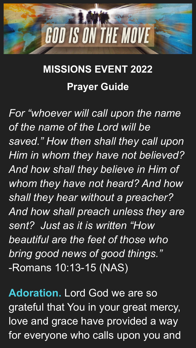

## **MISSIONS EVENT 2022 Prayer Guide**

*For "whoever will call upon the name of the name of the Lord will be saved." How then shall they call upon Him in whom they have not believed? And how shall they believe in Him of whom they have not heard? And how shall they hear without a preacher? And how shall preach unless they are sent? Just as it is written "How beautiful are the feet of those who bring good news of good things."* -Romans 10:13-15 (NAS)

**Adoration.** Lord God we are so grateful that You in your great mercy, love and grace have provided a way for everyone who calls upon you and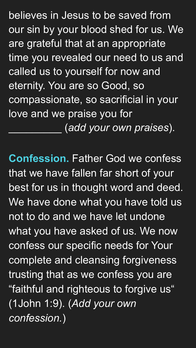believes in Jesus to be saved from our sin by your blood shed for us. We are grateful that at an appropriate time you revealed our need to us and called us to yourself for now and eternity. You are so Good, so compassionate, so sacrificial in your love and we praise you for \_\_\_\_\_\_\_\_\_ (*add your own praises*).

**Confession.** Father God we confess that we have fallen far short of your best for us in thought word and deed. We have done what you have told us not to do and we have let undone what you have asked of us. We now confess our specific needs for Your complete and cleansing forgiveness trusting that as we confess you are "faithful and righteous to forgive us" (1John 1:9). (*Add your own confession.*)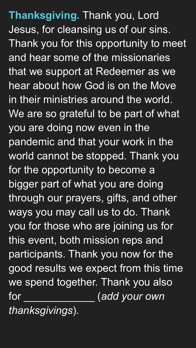**Thanksgiving.** Thank you, Lord Jesus, for cleansing us of our sins. Thank you for this opportunity to meet and hear some of the missionaries that we support at Redeemer as we hear about how God is on the Move in their ministries around the world. We are so grateful to be part of what you are doing now even in the pandemic and that your work in the world cannot be stopped. Thank you for the opportunity to become a bigger part of what you are doing through our prayers, gifts, and other ways you may call us to do. Thank you for those who are joining us for this event, both mission reps and participants. Thank you now for the good results we expect from this time

## we spend together. Thank you also for  $(add$  *your own*

## *thanksgivings*).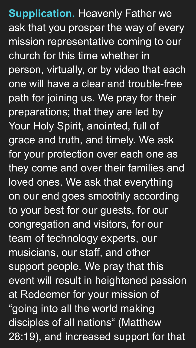**Supplication.** Heavenly Father we ask that you prosper the way of every mission representative coming to our church for this time whether in person, virtually, or by video that each one will have a clear and trouble-free path for joining us. We pray for their preparations; that they are led by Your Holy Spirit, anointed, full of grace and truth, and timely. We ask for your protection over each one as they come and over their families and loved ones. We ask that everything on our end goes smoothly according to your best for our guests, for our congregation and visitors, for our team of technology experts, our musicians, our staff, and other support people. We pray that this

event will result in heightened passion at Redeemer for your mission of "going into all the world making disciples of all nations" (Matthew 28:19), and increased support for that